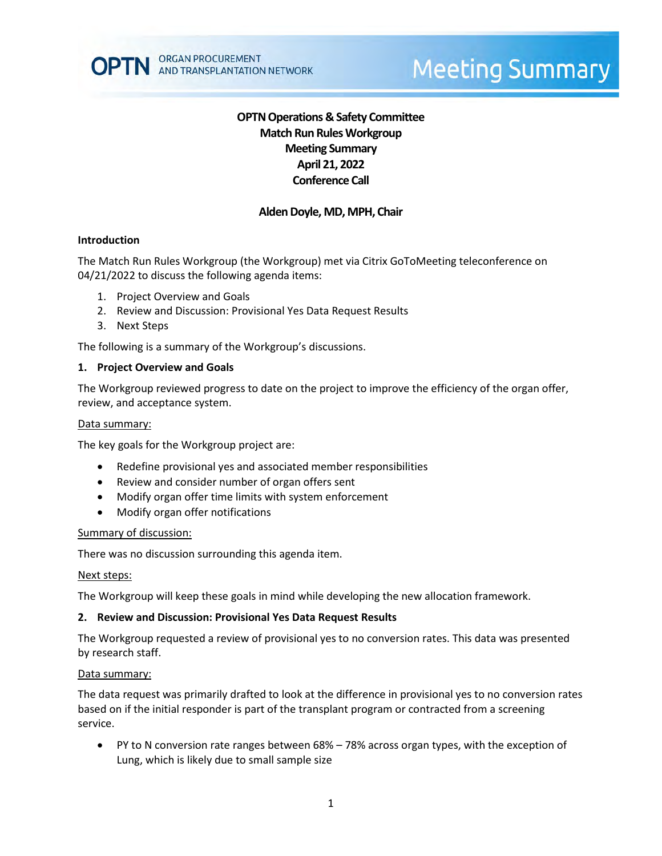# **Meeting Summary**

# **OPTN Operations & Safety Committee Match Run Rules Workgroup Meeting Summary April 21, 2022 Conference Call**

# **Alden Doyle, MD, MPH, Chair**

## **Introduction**

The Match Run Rules Workgroup (the Workgroup) met via Citrix GoToMeeting teleconference on 04/21/2022 to discuss the following agenda items:

- 1. Project Overview and Goals
- 2. Review and Discussion: Provisional Yes Data Request Results
- 3. Next Steps

The following is a summary of the Workgroup's discussions.

#### **1. Project Overview and Goals**

The Workgroup reviewed progress to date on the project to improve the efficiency of the organ offer, review, and acceptance system.

#### Data summary:

The key goals for the Workgroup project are:

- Redefine provisional yes and associated member responsibilities
- Review and consider number of organ offers sent
- Modify organ offer time limits with system enforcement
- Modify organ offer notifications

#### Summary of discussion:

There was no discussion surrounding this agenda item.

#### Next steps:

The Workgroup will keep these goals in mind while developing the new allocation framework.

#### **2. Review and Discussion: Provisional Yes Data Request Results**

The Workgroup requested a review of provisional yes to no conversion rates. This data was presented by research staff.

#### Data summary:

The data request was primarily drafted to look at the difference in provisional yes to no conversion rates based on if the initial responder is part of the transplant program or contracted from a screening service.

• PY to N conversion rate ranges between 68% – 78% across organ types, with the exception of Lung, which is likely due to small sample size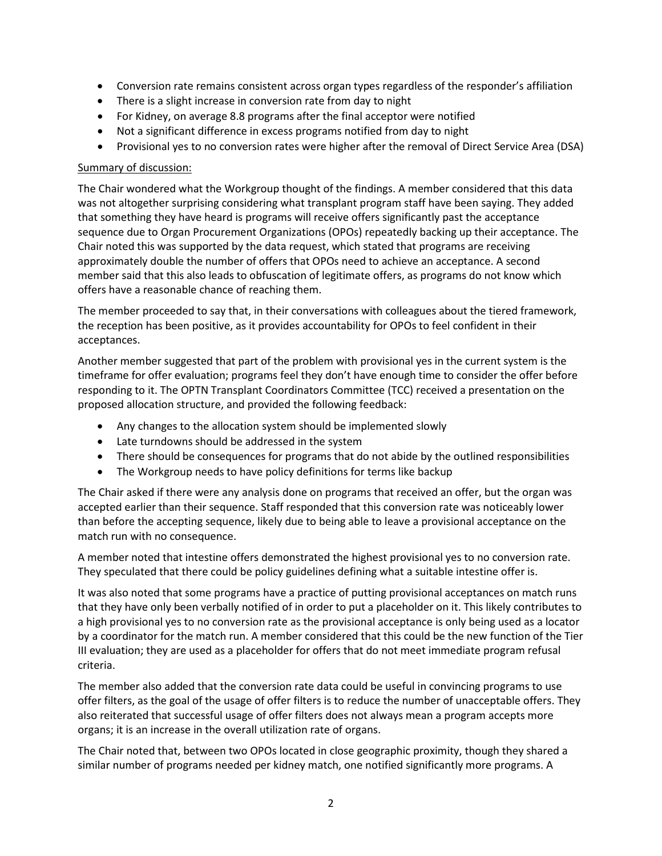- Conversion rate remains consistent across organ types regardless of the responder's affiliation
- There is a slight increase in conversion rate from day to night
- For Kidney, on average 8.8 programs after the final acceptor were notified
- Not a significant difference in excess programs notified from day to night
- Provisional yes to no conversion rates were higher after the removal of Direct Service Area (DSA)

# Summary of discussion:

The Chair wondered what the Workgroup thought of the findings. A member considered that this data was not altogether surprising considering what transplant program staff have been saying. They added that something they have heard is programs will receive offers significantly past the acceptance sequence due to Organ Procurement Organizations (OPOs) repeatedly backing up their acceptance. The Chair noted this was supported by the data request, which stated that programs are receiving approximately double the number of offers that OPOs need to achieve an acceptance. A second member said that this also leads to obfuscation of legitimate offers, as programs do not know which offers have a reasonable chance of reaching them.

The member proceeded to say that, in their conversations with colleagues about the tiered framework, the reception has been positive, as it provides accountability for OPOs to feel confident in their acceptances.

Another member suggested that part of the problem with provisional yes in the current system is the timeframe for offer evaluation; programs feel they don't have enough time to consider the offer before responding to it. The OPTN Transplant Coordinators Committee (TCC) received a presentation on the proposed allocation structure, and provided the following feedback:

- Any changes to the allocation system should be implemented slowly
- Late turndowns should be addressed in the system
- There should be consequences for programs that do not abide by the outlined responsibilities
- The Workgroup needs to have policy definitions for terms like backup

The Chair asked if there were any analysis done on programs that received an offer, but the organ was accepted earlier than their sequence. Staff responded that this conversion rate was noticeably lower than before the accepting sequence, likely due to being able to leave a provisional acceptance on the match run with no consequence.

A member noted that intestine offers demonstrated the highest provisional yes to no conversion rate. They speculated that there could be policy guidelines defining what a suitable intestine offer is.

It was also noted that some programs have a practice of putting provisional acceptances on match runs that they have only been verbally notified of in order to put a placeholder on it. This likely contributes to a high provisional yes to no conversion rate as the provisional acceptance is only being used as a locator by a coordinator for the match run. A member considered that this could be the new function of the Tier III evaluation; they are used as a placeholder for offers that do not meet immediate program refusal criteria.

The member also added that the conversion rate data could be useful in convincing programs to use offer filters, as the goal of the usage of offer filters is to reduce the number of unacceptable offers. They also reiterated that successful usage of offer filters does not always mean a program accepts more organs; it is an increase in the overall utilization rate of organs.

The Chair noted that, between two OPOs located in close geographic proximity, though they shared a similar number of programs needed per kidney match, one notified significantly more programs. A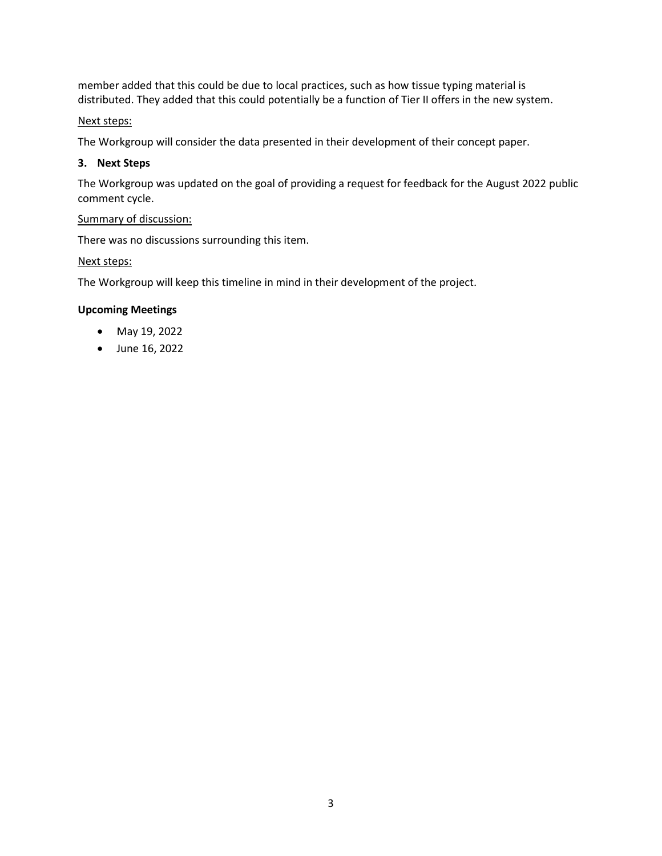member added that this could be due to local practices, such as how tissue typing material is distributed. They added that this could potentially be a function of Tier II offers in the new system.

# Next steps:

The Workgroup will consider the data presented in their development of their concept paper.

## **3. Next Steps**

The Workgroup was updated on the goal of providing a request for feedback for the August 2022 public comment cycle.

# Summary of discussion:

There was no discussions surrounding this item.

## Next steps:

The Workgroup will keep this timeline in mind in their development of the project.

## **Upcoming Meetings**

- May 19, 2022
- June 16, 2022